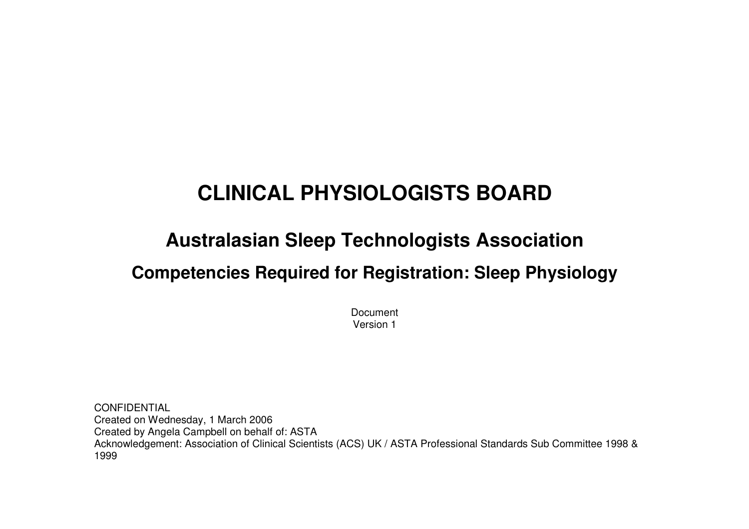# **CLINICAL PHYSIOLOGISTS BOARD**

# **Australasian Sleep Technologists Association**

# **Competencies Required for Registration: Sleep Physiology**

Document Version 1

CONFIDENTIAL Created on Wednesday, 1 March 2006 Created by Angela Campbell on behalf of: ASTA Acknowledgement: Association of Clinical Scientists (ACS) UK / ASTA Professional Standards Sub Committee 1998 & 1999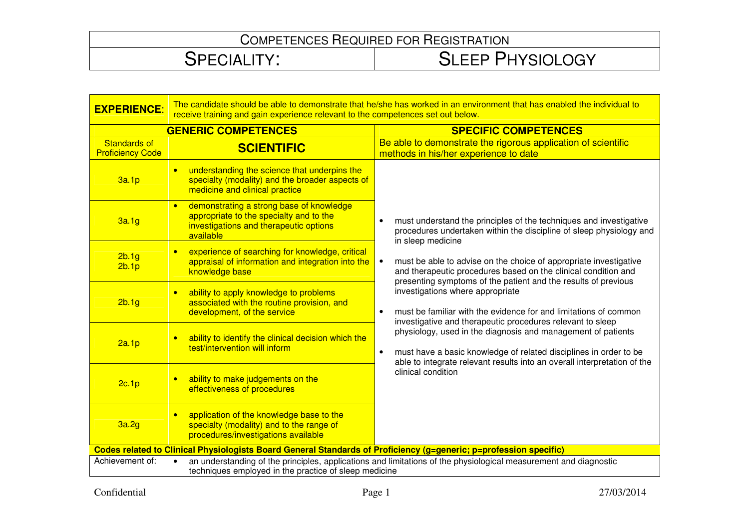| <b>EXPERIENCE:</b>                                                                                                                                                                           | The candidate should be able to demonstrate that he/she has worked in an environment that has enabled the individual to<br>receive training and gain experience relevant to the competences set out below. |                                                                                                                                                                                                                            |  |
|----------------------------------------------------------------------------------------------------------------------------------------------------------------------------------------------|------------------------------------------------------------------------------------------------------------------------------------------------------------------------------------------------------------|----------------------------------------------------------------------------------------------------------------------------------------------------------------------------------------------------------------------------|--|
| <b>GENERIC COMPETENCES</b>                                                                                                                                                                   |                                                                                                                                                                                                            | <b>SPECIFIC COMPETENCES</b>                                                                                                                                                                                                |  |
| <b>Standards of</b><br><b>Proficiency Code</b>                                                                                                                                               | <b>SCIENTIFIC</b>                                                                                                                                                                                          | Be able to demonstrate the rigorous application of scientific<br>methods in his/her experience to date                                                                                                                     |  |
| 3a.1p                                                                                                                                                                                        | understanding the science that underpins the<br>$\bullet$<br>specialty (modality) and the broader aspects of<br>medicine and clinical practice                                                             |                                                                                                                                                                                                                            |  |
| 3a.1g                                                                                                                                                                                        | demonstrating a strong base of knowledge<br>$\bullet$<br>appropriate to the specialty and to the<br>investigations and therapeutic options<br>available                                                    | must understand the principles of the techniques and investigative<br>procedures undertaken within the discipline of sleep physiology and<br>in sleep medicine                                                             |  |
| 2b.1g<br>2b.1p                                                                                                                                                                               | experience of searching for knowledge, critical<br>$\bullet$<br>appraisal of information and integration into the<br>knowledge base                                                                        | must be able to advise on the choice of appropriate investigative<br>$\bullet$<br>and therapeutic procedures based on the clinical condition and<br>presenting symptoms of the patient and the results of previous         |  |
| 2b.1g                                                                                                                                                                                        | ability to apply knowledge to problems<br>$\bullet$<br>associated with the routine provision, and<br>development, of the service                                                                           | investigations where appropriate<br>must be familiar with the evidence for and limitations of common<br>$\bullet$<br>investigative and therapeutic procedures relevant to sleep                                            |  |
| 2a.1p                                                                                                                                                                                        | ability to identify the clinical decision which the<br>$\bullet$<br>test/intervention will inform                                                                                                          | physiology, used in the diagnosis and management of patients<br>must have a basic knowledge of related disciplines in order to be<br>$\bullet$<br>able to integrate relevant results into an overall interpretation of the |  |
| 2c.1p                                                                                                                                                                                        | ability to make judgements on the<br>$\bullet$<br>effectiveness of procedures                                                                                                                              | clinical condition                                                                                                                                                                                                         |  |
| 3a.2g                                                                                                                                                                                        | application of the knowledge base to the<br>$\bullet$<br>specialty (modality) and to the range of<br>procedures/investigations available                                                                   |                                                                                                                                                                                                                            |  |
|                                                                                                                                                                                              | Codes related to Clinical Physiologists Board General Standards of Proficiency (g=generic; p=profession specific)                                                                                          |                                                                                                                                                                                                                            |  |
| Achievement of:<br>an understanding of the principles, applications and limitations of the physiological measurement and diagnostic<br>techniques employed in the practice of sleep medicine |                                                                                                                                                                                                            |                                                                                                                                                                                                                            |  |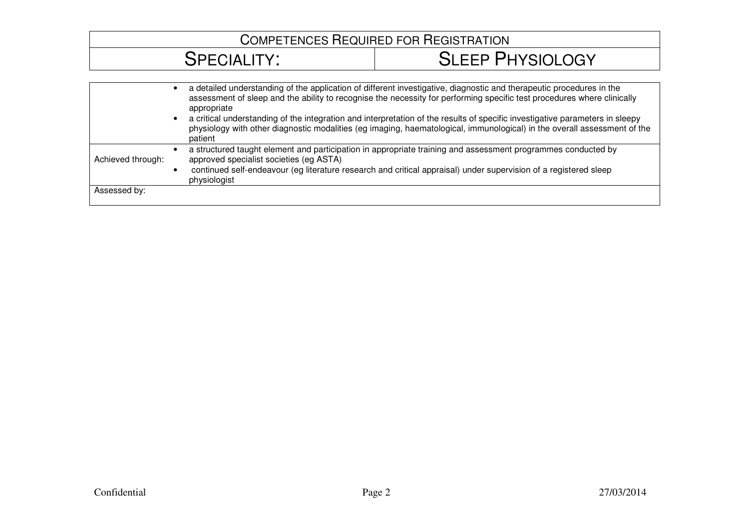#### COMPETENCES REQUIRED FOR REGISTRATION SPECIALITY: SLEEP PHYSIOLOGY• a detailed understanding of the application of different investigative, diagnostic and therapeutic procedures in the assessment of sleep and the ability to recognise the necessity for performing specific test procedures where clinically appropriate • a critical understanding of the integration and interpretation of the results of specific investigative parameters in sleepy physiology with other diagnostic modalities (eg imaging, haematological, immunological) in the overall assessment of the patient • a structured taught element and participation in appropriate training and assessment programmes conducted by

• continued self-endeavour (eg literature research and critical appraisal) under supervision of a registered sleep

approved specialist societies (eg ASTA)

physiologist

Achieved through:

Assessed by: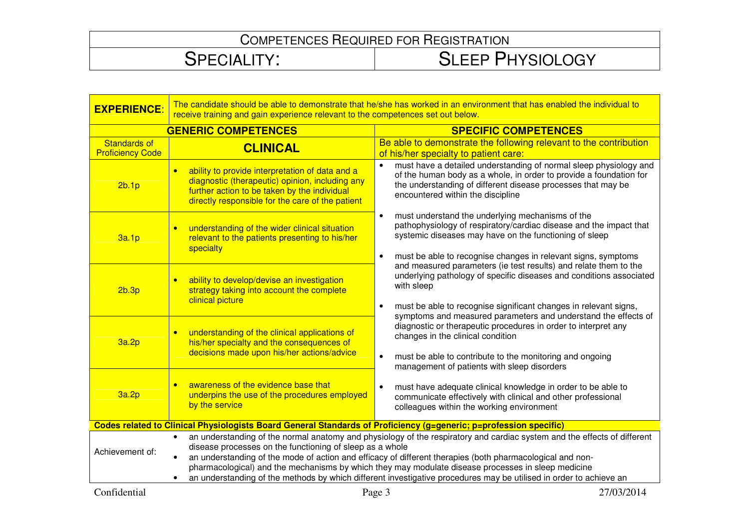| <b>EXPERIENCE:</b>                                                                                                                                                                                                                                                                                                                                                                                                                                                                                                                                            | The candidate should be able to demonstrate that he/she has worked in an environment that has enabled the individual to<br>receive training and gain experience relevant to the competences set out below. |                                                                                                                                                                                                                                                                                  |
|---------------------------------------------------------------------------------------------------------------------------------------------------------------------------------------------------------------------------------------------------------------------------------------------------------------------------------------------------------------------------------------------------------------------------------------------------------------------------------------------------------------------------------------------------------------|------------------------------------------------------------------------------------------------------------------------------------------------------------------------------------------------------------|----------------------------------------------------------------------------------------------------------------------------------------------------------------------------------------------------------------------------------------------------------------------------------|
| <b>GENERIC COMPETENCES</b>                                                                                                                                                                                                                                                                                                                                                                                                                                                                                                                                    |                                                                                                                                                                                                            | <b>SPECIFIC COMPETENCES</b>                                                                                                                                                                                                                                                      |
| <b>Standards of</b><br><b>Proficiency Code</b>                                                                                                                                                                                                                                                                                                                                                                                                                                                                                                                | <b>CLINICAL</b>                                                                                                                                                                                            | Be able to demonstrate the following relevant to the contribution<br>of his/her specialty to patient care:                                                                                                                                                                       |
| 2b.1p                                                                                                                                                                                                                                                                                                                                                                                                                                                                                                                                                         | ability to provide interpretation of data and a<br>diagnostic (therapeutic) opinion, including any<br>further action to be taken by the individual<br>directly responsible for the care of the patient     | must have a detailed understanding of normal sleep physiology and<br>of the human body as a whole, in order to provide a foundation for<br>the understanding of different disease processes that may be<br>encountered within the discipline                                     |
| 3a.1p                                                                                                                                                                                                                                                                                                                                                                                                                                                                                                                                                         | understanding of the wider clinical situation<br>relevant to the patients presenting to his/her<br>specialty                                                                                               | must understand the underlying mechanisms of the<br>$\bullet$<br>pathophysiology of respiratory/cardiac disease and the impact that<br>systemic diseases may have on the functioning of sleep<br>must be able to recognise changes in relevant signs, symptoms<br>$\bullet$      |
| 2b.3p                                                                                                                                                                                                                                                                                                                                                                                                                                                                                                                                                         | ability to develop/devise an investigation<br>strategy taking into account the complete<br>clinical picture                                                                                                | and measured parameters (ie test results) and relate them to the<br>underlying pathology of specific diseases and conditions associated<br>with sleep<br>must be able to recognise significant changes in relevant signs,<br>$\bullet$                                           |
| 3a.2p                                                                                                                                                                                                                                                                                                                                                                                                                                                                                                                                                         | understanding of the clinical applications of<br>his/her specialty and the consequences of<br>decisions made upon his/her actions/advice                                                                   | symptoms and measured parameters and understand the effects of<br>diagnostic or therapeutic procedures in order to interpret any<br>changes in the clinical condition<br>must be able to contribute to the monitoring and ongoing<br>management of patients with sleep disorders |
| 3a.2p                                                                                                                                                                                                                                                                                                                                                                                                                                                                                                                                                         | awareness of the evidence base that<br>underpins the use of the procedures employed<br>by the service                                                                                                      | must have adequate clinical knowledge in order to be able to<br>$\bullet$<br>communicate effectively with clinical and other professional<br>colleagues within the working environment                                                                                           |
| Codes related to Clinical Physiologists Board General Standards of Proficiency (g=generic; p=profession specific)                                                                                                                                                                                                                                                                                                                                                                                                                                             |                                                                                                                                                                                                            |                                                                                                                                                                                                                                                                                  |
| an understanding of the normal anatomy and physiology of the respiratory and cardiac system and the effects of different<br>$\bullet$<br>disease processes on the functioning of sleep as a whole<br>Achievement of:<br>an understanding of the mode of action and efficacy of different therapies (both pharmacological and non-<br>pharmacological) and the mechanisms by which they may modulate disease processes in sleep medicine<br>an understanding of the methods by which different investigative procedures may be utilised in order to achieve an |                                                                                                                                                                                                            |                                                                                                                                                                                                                                                                                  |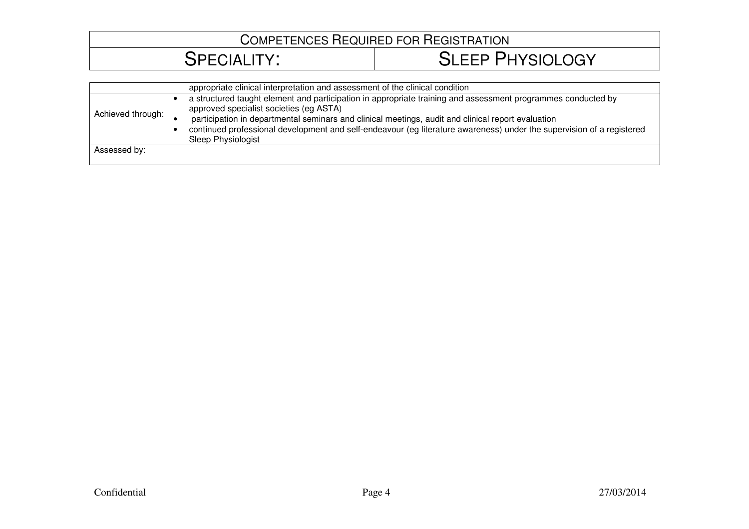| appropriate clinical interpretation and assessment of the clinical condition                                                                                                                                                                                                                                                                                                                                 |
|--------------------------------------------------------------------------------------------------------------------------------------------------------------------------------------------------------------------------------------------------------------------------------------------------------------------------------------------------------------------------------------------------------------|
| a structured taught element and participation in appropriate training and assessment programmes conducted by<br>approved specialist societies (eg ASTA)<br>participation in departmental seminars and clinical meetings, audit and clinical report evaluation<br>continued professional development and self-endeavour (eg literature awareness) under the supervision of a registered<br>Sleep Physiologist |
|                                                                                                                                                                                                                                                                                                                                                                                                              |
|                                                                                                                                                                                                                                                                                                                                                                                                              |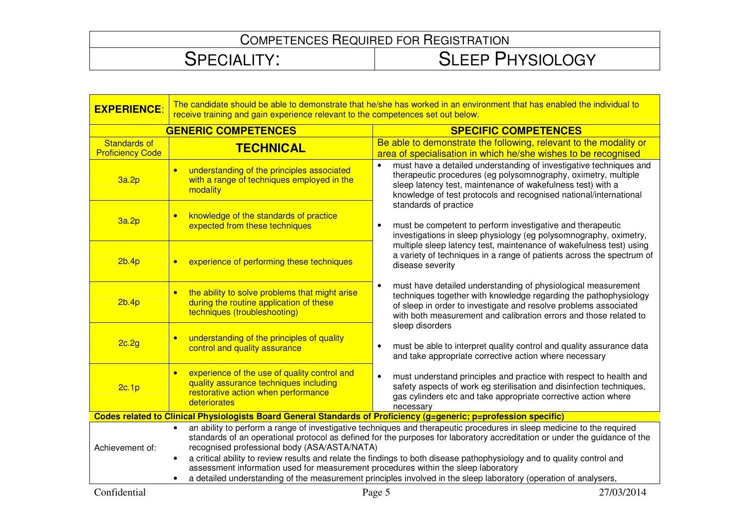| <b>EXPERIENCE:</b>                                                                                                | The candidate should be able to demonstrate that he/she has worked in an environment that has enabled the individual to<br>receive training and gain experience relevant to the competences set out below.                                                                                                                                                                                                                                                                                                                                                                                                                                                          |                                                                                                                                                                                                                                                                                 |
|-------------------------------------------------------------------------------------------------------------------|---------------------------------------------------------------------------------------------------------------------------------------------------------------------------------------------------------------------------------------------------------------------------------------------------------------------------------------------------------------------------------------------------------------------------------------------------------------------------------------------------------------------------------------------------------------------------------------------------------------------------------------------------------------------|---------------------------------------------------------------------------------------------------------------------------------------------------------------------------------------------------------------------------------------------------------------------------------|
| <b>GENERIC COMPETENCES</b>                                                                                        |                                                                                                                                                                                                                                                                                                                                                                                                                                                                                                                                                                                                                                                                     | <b>SPECIFIC COMPETENCES</b>                                                                                                                                                                                                                                                     |
| <b>Standards of</b><br><b>Proficiency Code</b>                                                                    | <b>TECHNICAL</b>                                                                                                                                                                                                                                                                                                                                                                                                                                                                                                                                                                                                                                                    | Be able to demonstrate the following, relevant to the modality or<br>area of specialisation in which he/she wishes to be recognised                                                                                                                                             |
| 3a.2p                                                                                                             | understanding of the principles associated<br>$\bullet$<br>with a range of techniques employed in the<br>modality                                                                                                                                                                                                                                                                                                                                                                                                                                                                                                                                                   | must have a detailed understanding of investigative techniques and<br>therapeutic procedures (eg polysomnography, oximetry, multiple<br>sleep latency test, maintenance of wakefulness test) with a<br>knowledge of test protocols and recognised national/international        |
| 3a.2p                                                                                                             | knowledge of the standards of practice<br>$\bullet$<br>expected from these techniques                                                                                                                                                                                                                                                                                                                                                                                                                                                                                                                                                                               | standards of practice<br>must be competent to perform investigative and therapeutic<br>$\bullet$<br>investigations in sleep physiology (eg polysomnography, oximetry,                                                                                                           |
| 2b.4p                                                                                                             | experience of performing these techniques<br>$\bullet$                                                                                                                                                                                                                                                                                                                                                                                                                                                                                                                                                                                                              | multiple sleep latency test, maintenance of wakefulness test) using<br>a variety of techniques in a range of patients across the spectrum of<br>disease severity                                                                                                                |
| 2b.4p                                                                                                             | the ability to solve problems that might arise<br>$\bullet$<br>during the routine application of these<br>techniques (troubleshooting)                                                                                                                                                                                                                                                                                                                                                                                                                                                                                                                              | must have detailed understanding of physiological measurement<br>٠<br>techniques together with knowledge regarding the pathophysiology<br>of sleep in order to investigate and resolve problems associated<br>with both measurement and calibration errors and those related to |
| 2c.2g                                                                                                             | understanding of the principles of quality<br>$\bullet$<br>control and quality assurance                                                                                                                                                                                                                                                                                                                                                                                                                                                                                                                                                                            | sleep disorders<br>must be able to interpret quality control and quality assurance data<br>$\bullet$<br>and take appropriate corrective action where necessary                                                                                                                  |
| 2c.1p                                                                                                             | experience of the use of quality control and<br>quality assurance techniques including<br>restorative action when performance<br>deteriorates                                                                                                                                                                                                                                                                                                                                                                                                                                                                                                                       | must understand principles and practice with respect to health and<br>$\bullet$<br>safety aspects of work eg sterilisation and disinfection techniques,<br>gas cylinders etc and take appropriate corrective action where<br>necessary                                          |
| Codes related to Clinical Physiologists Board General Standards of Proficiency (g=generic; p=profession specific) |                                                                                                                                                                                                                                                                                                                                                                                                                                                                                                                                                                                                                                                                     |                                                                                                                                                                                                                                                                                 |
| Achievement of:                                                                                                   | an ability to perform a range of investigative techniques and therapeutic procedures in sleep medicine to the required<br>$\bullet$<br>standards of an operational protocol as defined for the purposes for laboratory accreditation or under the quidance of the<br>recognised professional body (ASA/ASTA/NATA)<br>a critical ability to review results and relate the findings to both disease pathophysiology and to quality control and<br>$\bullet$<br>assessment information used for measurement procedures within the sleep laboratory<br>a detailed understanding of the measurement principles involved in the sleep laboratory (operation of analysers, |                                                                                                                                                                                                                                                                                 |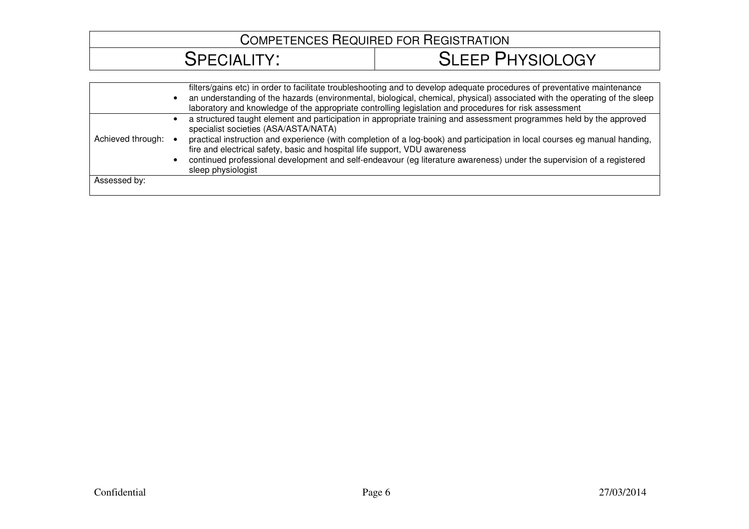|                   | filters/gains etc) in order to facilitate troubleshooting and to develop adequate procedures of preventative maintenance<br>an understanding of the hazards (environmental, biological, chemical, physical) associated with the operating of the sleep<br>laboratory and knowledge of the appropriate controlling legislation and procedures for risk assessment                                                                                                                                                        |
|-------------------|-------------------------------------------------------------------------------------------------------------------------------------------------------------------------------------------------------------------------------------------------------------------------------------------------------------------------------------------------------------------------------------------------------------------------------------------------------------------------------------------------------------------------|
| Achieved through: | a structured taught element and participation in appropriate training and assessment programmes held by the approved<br>specialist societies (ASA/ASTA/NATA)<br>practical instruction and experience (with completion of a log-book) and participation in local courses eg manual handing,<br>fire and electrical safety, basic and hospital life support, VDU awareness<br>continued professional development and self-endeavour (eg literature awareness) under the supervision of a registered<br>sleep physiologist |
| Assessed by:      |                                                                                                                                                                                                                                                                                                                                                                                                                                                                                                                         |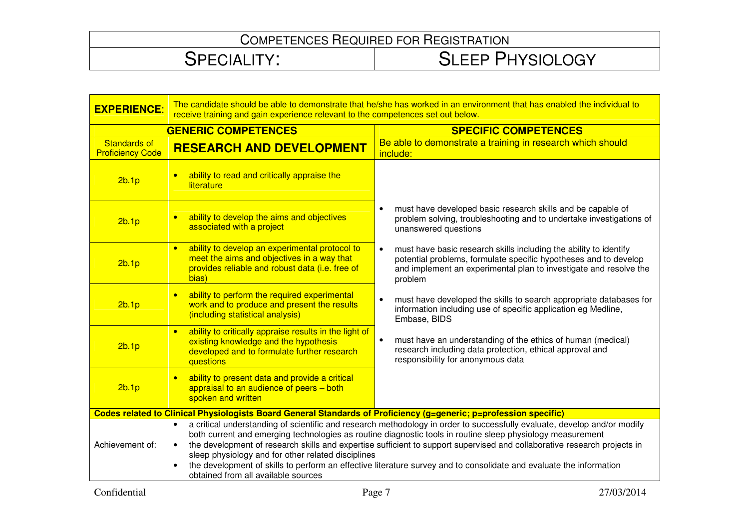| <b>EXPERIENCE:</b>                             | The candidate should be able to demonstrate that he/she has worked in an environment that has enabled the individual to<br>receive training and gain experience relevant to the competences set out below.                                                                                                                                                                                                                                                                                                                                                                                          |                                                                                                                                                                                                                                    |  |
|------------------------------------------------|-----------------------------------------------------------------------------------------------------------------------------------------------------------------------------------------------------------------------------------------------------------------------------------------------------------------------------------------------------------------------------------------------------------------------------------------------------------------------------------------------------------------------------------------------------------------------------------------------------|------------------------------------------------------------------------------------------------------------------------------------------------------------------------------------------------------------------------------------|--|
| <b>GENERIC COMPETENCES</b>                     |                                                                                                                                                                                                                                                                                                                                                                                                                                                                                                                                                                                                     | <b>SPECIFIC COMPETENCES</b>                                                                                                                                                                                                        |  |
| <b>Standards of</b><br><b>Proficiency Code</b> | <b>RESEARCH AND DEVELOPMENT</b>                                                                                                                                                                                                                                                                                                                                                                                                                                                                                                                                                                     | Be able to demonstrate a training in research which should<br>include:                                                                                                                                                             |  |
| 2b.1p                                          | ability to read and critically appraise the<br>literature                                                                                                                                                                                                                                                                                                                                                                                                                                                                                                                                           |                                                                                                                                                                                                                                    |  |
| 2b.1p                                          | ability to develop the aims and objectives<br>$\bullet$<br>associated with a project                                                                                                                                                                                                                                                                                                                                                                                                                                                                                                                | must have developed basic research skills and be capable of<br>$\bullet$<br>problem solving, troubleshooting and to undertake investigations of<br>unanswered questions                                                            |  |
| 2b.1p                                          | ability to develop an experimental protocol to<br>$\bullet$<br>meet the aims and objectives in a way that<br>provides reliable and robust data (i.e. free of<br>bias)                                                                                                                                                                                                                                                                                                                                                                                                                               | must have basic research skills including the ability to identify<br>$\bullet$<br>potential problems, formulate specific hypotheses and to develop<br>and implement an experimental plan to investigate and resolve the<br>problem |  |
| 2b.1p                                          | ability to perform the required experimental<br>work and to produce and present the results<br>(including statistical analysis)                                                                                                                                                                                                                                                                                                                                                                                                                                                                     | must have developed the skills to search appropriate databases for<br>$\bullet$<br>information including use of specific application eg Medline,<br>Embase, BIDS                                                                   |  |
| 2b.1p                                          | ability to critically appraise results in the light of<br>$\bullet$<br>existing knowledge and the hypothesis<br>developed and to formulate further research<br>questions                                                                                                                                                                                                                                                                                                                                                                                                                            | $\bullet$<br>must have an understanding of the ethics of human (medical)<br>research including data protection, ethical approval and<br>responsibility for anonymous data                                                          |  |
| 2b.1p                                          | ability to present data and provide a critical<br>appraisal to an audience of peers - both<br>spoken and written                                                                                                                                                                                                                                                                                                                                                                                                                                                                                    |                                                                                                                                                                                                                                    |  |
|                                                | Codes related to Clinical Physiologists Board General Standards of Proficiency (g=generic; p=profession specific)                                                                                                                                                                                                                                                                                                                                                                                                                                                                                   |                                                                                                                                                                                                                                    |  |
| Achievement of:                                | a critical understanding of scientific and research methodology in order to successfully evaluate, develop and/or modify<br>both current and emerging technologies as routine diagnostic tools in routine sleep physiology measurement<br>the development of research skills and expertise sufficient to support supervised and collaborative research projects in<br>$\bullet$<br>sleep physiology and for other related disciplines<br>the development of skills to perform an effective literature survey and to consolidate and evaluate the information<br>obtained from all available sources |                                                                                                                                                                                                                                    |  |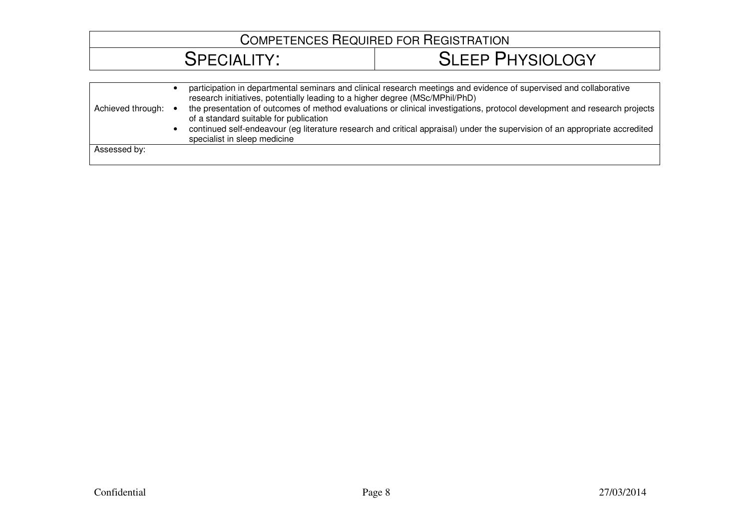| Achieved through: • | participation in departmental seminars and clinical research meetings and evidence of supervised and collaborative<br>research initiatives, potentially leading to a higher degree (MSc/MPhil/PhD)<br>the presentation of outcomes of method evaluations or clinical investigations, protocol development and research projects<br>of a standard suitable for publication<br>continued self-endeavour (eg literature research and critical appraisal) under the supervision of an appropriate accredited<br>specialist in sleep medicine |
|---------------------|------------------------------------------------------------------------------------------------------------------------------------------------------------------------------------------------------------------------------------------------------------------------------------------------------------------------------------------------------------------------------------------------------------------------------------------------------------------------------------------------------------------------------------------|
| Assessed by:        |                                                                                                                                                                                                                                                                                                                                                                                                                                                                                                                                          |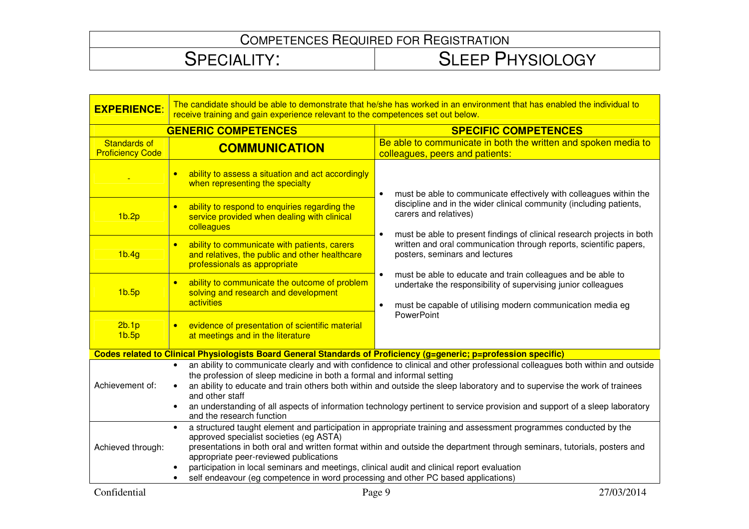| <b>EXPERIENCE:</b>                             | The candidate should be able to demonstrate that he/she has worked in an environment that has enabled the individual to<br>receive training and gain experience relevant to the competences set out below.                                                                                                                                                                                                                                                                                                                         |                                                                                                                                                                                                                      |  |
|------------------------------------------------|------------------------------------------------------------------------------------------------------------------------------------------------------------------------------------------------------------------------------------------------------------------------------------------------------------------------------------------------------------------------------------------------------------------------------------------------------------------------------------------------------------------------------------|----------------------------------------------------------------------------------------------------------------------------------------------------------------------------------------------------------------------|--|
| <b>GENERIC COMPETENCES</b>                     |                                                                                                                                                                                                                                                                                                                                                                                                                                                                                                                                    | <b>SPECIFIC COMPETENCES</b>                                                                                                                                                                                          |  |
| <b>Standards of</b><br><b>Proficiency Code</b> | <b>COMMUNICATION</b>                                                                                                                                                                                                                                                                                                                                                                                                                                                                                                               | Be able to communicate in both the written and spoken media to<br>colleagues, peers and patients:                                                                                                                    |  |
|                                                | ability to assess a situation and act accordingly<br>$\bullet$<br>when representing the specialty                                                                                                                                                                                                                                                                                                                                                                                                                                  | must be able to communicate effectively with colleagues within the<br>$\bullet$                                                                                                                                      |  |
| 1 <sub>b.2p</sub>                              | ability to respond to enquiries regarding the<br>$\bullet$<br>service provided when dealing with clinical<br>colleagues                                                                                                                                                                                                                                                                                                                                                                                                            | discipline and in the wider clinical community (including patients,<br>carers and relatives)<br>must be able to present findings of clinical research projects in both<br>$\bullet$                                  |  |
| 1 <sub>b.4g</sub>                              | ability to communicate with patients, carers<br>$\bullet$<br>and relatives, the public and other healthcare<br>professionals as appropriate                                                                                                                                                                                                                                                                                                                                                                                        | written and oral communication through reports, scientific papers,<br>posters, seminars and lectures                                                                                                                 |  |
| 1 <sub>b.5p</sub>                              | ability to communicate the outcome of problem<br>$\bullet$<br>solving and research and development<br>activities                                                                                                                                                                                                                                                                                                                                                                                                                   | must be able to educate and train colleagues and be able to<br>$\bullet$<br>undertake the responsibility of supervising junior colleagues<br>must be capable of utilising modern communication media eg<br>$\bullet$ |  |
| 2b.1p<br>1 <sub>b.5p</sub>                     | evidence of presentation of scientific material<br>at meetings and in the literature                                                                                                                                                                                                                                                                                                                                                                                                                                               | <b>PowerPoint</b>                                                                                                                                                                                                    |  |
|                                                | Codes related to Clinical Physiologists Board General Standards of Proficiency (g=generic; p=profession specific)                                                                                                                                                                                                                                                                                                                                                                                                                  |                                                                                                                                                                                                                      |  |
| Achievement of:                                | an ability to communicate clearly and with confidence to clinical and other professional colleagues both within and outside<br>$\bullet$<br>the profession of sleep medicine in both a formal and informal setting<br>an ability to educate and train others both within and outside the sleep laboratory and to supervise the work of trainees<br>and other staff<br>an understanding of all aspects of information technology pertinent to service provision and support of a sleep laboratory<br>and the research function      |                                                                                                                                                                                                                      |  |
| Achieved through:                              | a structured taught element and participation in appropriate training and assessment programmes conducted by the<br>$\bullet$<br>approved specialist societies (eg ASTA)<br>presentations in both oral and written format within and outside the department through seminars, tutorials, posters and<br>appropriate peer-reviewed publications<br>participation in local seminars and meetings, clinical audit and clinical report evaluation<br>self endeavour (eg competence in word processing and other PC based applications) |                                                                                                                                                                                                                      |  |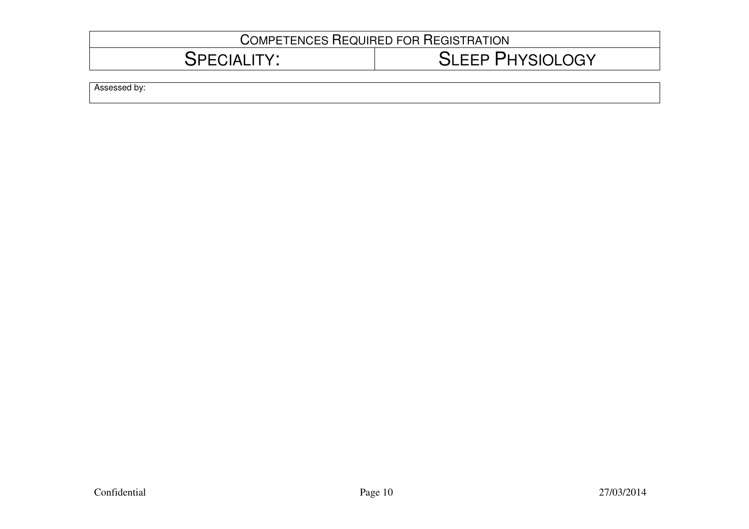| <b>COMPETENCES REQUIRED FOR REGISTRATION</b> |                         |  |
|----------------------------------------------|-------------------------|--|
| SPECIALITY:                                  | <b>SLEEP PHYSIOLOGY</b> |  |
| Assessed by:                                 |                         |  |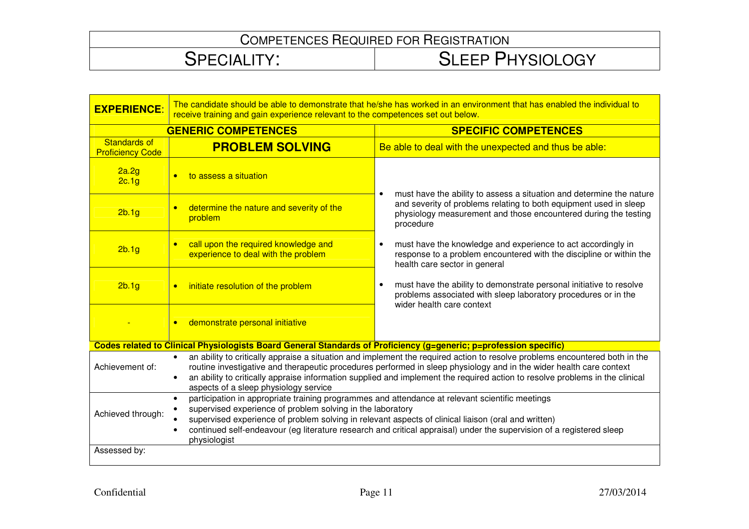| <b>EXPERIENCE:</b>                             | The candidate should be able to demonstrate that he/she has worked in an environment that has enabled the individual to<br>receive training and gain experience relevant to the competences set out below.                                                                                                                                                                                                                  |                                                                                                                                                                                   |  |
|------------------------------------------------|-----------------------------------------------------------------------------------------------------------------------------------------------------------------------------------------------------------------------------------------------------------------------------------------------------------------------------------------------------------------------------------------------------------------------------|-----------------------------------------------------------------------------------------------------------------------------------------------------------------------------------|--|
| <b>GENERIC COMPETENCES</b>                     |                                                                                                                                                                                                                                                                                                                                                                                                                             | <b>SPECIFIC COMPETENCES</b>                                                                                                                                                       |  |
| <b>Standards of</b><br><b>Proficiency Code</b> | <b>PROBLEM SOLVING</b>                                                                                                                                                                                                                                                                                                                                                                                                      | Be able to deal with the unexpected and thus be able:                                                                                                                             |  |
| 2a.2g<br>2c.1g                                 | to assess a situation                                                                                                                                                                                                                                                                                                                                                                                                       | must have the ability to assess a situation and determine the nature                                                                                                              |  |
| 2b.1g                                          | determine the nature and severity of the<br>$\bullet$<br>problem                                                                                                                                                                                                                                                                                                                                                            | and severity of problems relating to both equipment used in sleep<br>physiology measurement and those encountered during the testing<br>procedure                                 |  |
| 2b.1g                                          | call upon the required knowledge and<br>$\bullet$<br>experience to deal with the problem                                                                                                                                                                                                                                                                                                                                    | must have the knowledge and experience to act accordingly in<br>$\bullet$<br>response to a problem encountered with the discipline or within the<br>health care sector in general |  |
| 2b.1g                                          | initiate resolution of the problem<br>$\bullet$                                                                                                                                                                                                                                                                                                                                                                             | must have the ability to demonstrate personal initiative to resolve<br>$\bullet$<br>problems associated with sleep laboratory procedures or in the<br>wider health care context   |  |
|                                                | demonstrate personal initiative<br>$\bullet$                                                                                                                                                                                                                                                                                                                                                                                |                                                                                                                                                                                   |  |
|                                                | Codes related to Clinical Physiologists Board General Standards of Proficiency (g=generic; p=profession specific)                                                                                                                                                                                                                                                                                                           |                                                                                                                                                                                   |  |
| Achievement of:                                | an ability to critically appraise a situation and implement the required action to resolve problems encountered both in the<br>routine investigative and therapeutic procedures performed in sleep physiology and in the wider health care context<br>an ability to critically appraise information supplied and implement the required action to resolve problems in the clinical<br>aspects of a sleep physiology service |                                                                                                                                                                                   |  |
| Achieved through:<br>Assessed by:              | participation in appropriate training programmes and attendance at relevant scientific meetings<br>$\bullet$<br>supervised experience of problem solving in the laboratory<br>supervised experience of problem solving in relevant aspects of clinical liaison (oral and written)<br>continued self-endeavour (eg literature research and critical appraisal) under the supervision of a registered sleep<br>physiologist   |                                                                                                                                                                                   |  |
|                                                |                                                                                                                                                                                                                                                                                                                                                                                                                             |                                                                                                                                                                                   |  |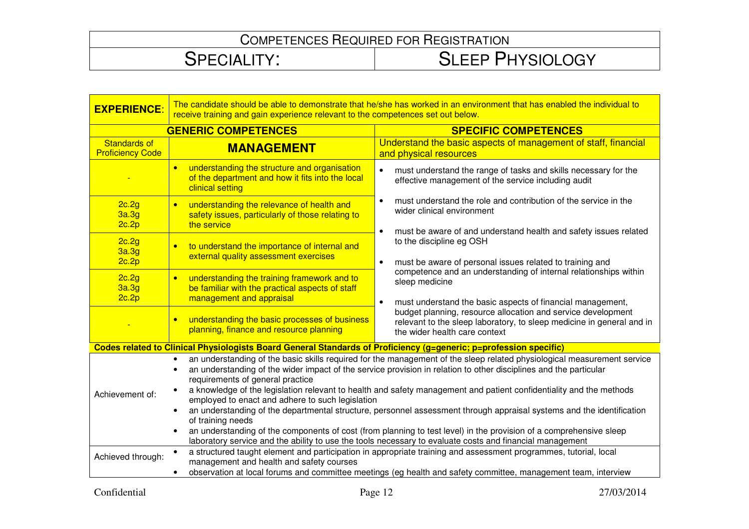| <b>EXPERIENCE:</b>                             | The candidate should be able to demonstrate that he/she has worked in an environment that has enabled the individual to<br>receive training and gain experience relevant to the competences set out below.                                                                                                                                                                   |                                                                                                                                                                                                                                                                                                                                                                     |  |
|------------------------------------------------|------------------------------------------------------------------------------------------------------------------------------------------------------------------------------------------------------------------------------------------------------------------------------------------------------------------------------------------------------------------------------|---------------------------------------------------------------------------------------------------------------------------------------------------------------------------------------------------------------------------------------------------------------------------------------------------------------------------------------------------------------------|--|
| <b>GENERIC COMPETENCES</b>                     |                                                                                                                                                                                                                                                                                                                                                                              | <b>SPECIFIC COMPETENCES</b>                                                                                                                                                                                                                                                                                                                                         |  |
| <b>Standards of</b><br><b>Proficiency Code</b> | <b>MANAGEMENT</b>                                                                                                                                                                                                                                                                                                                                                            | Understand the basic aspects of management of staff, financial<br>and physical resources                                                                                                                                                                                                                                                                            |  |
|                                                | understanding the structure and organisation<br>$\bullet$<br>of the department and how it fits into the local<br>clinical setting                                                                                                                                                                                                                                            | must understand the range of tasks and skills necessary for the<br>$\bullet$<br>effective management of the service including audit                                                                                                                                                                                                                                 |  |
| 2c.2g<br>3a.3g<br>2c.2p                        | understanding the relevance of health and<br>$\bullet$<br>safety issues, particularly of those relating to<br>the service                                                                                                                                                                                                                                                    | must understand the role and contribution of the service in the<br>$\bullet$<br>wider clinical environment                                                                                                                                                                                                                                                          |  |
| 2c.2g<br>3a.3g<br>2c.2p                        | to understand the importance of internal and<br>$\bullet$<br>external quality assessment exercises                                                                                                                                                                                                                                                                           | must be aware of and understand health and safety issues related<br>$\bullet$<br>to the discipline eg OSH<br>must be aware of personal issues related to training and<br>$\bullet$                                                                                                                                                                                  |  |
| 2c.2g<br>3a.3g<br>2c.2p                        | understanding the training framework and to<br>$\bullet$<br>be familiar with the practical aspects of staff<br>management and appraisal                                                                                                                                                                                                                                      | competence and an understanding of internal relationships within<br>sleep medicine<br>must understand the basic aspects of financial management,<br>$\bullet$                                                                                                                                                                                                       |  |
|                                                | understanding the basic processes of business<br>$\bullet$<br>planning, finance and resource planning                                                                                                                                                                                                                                                                        | budget planning, resource allocation and service development<br>relevant to the sleep laboratory, to sleep medicine in general and in<br>the wider health care context                                                                                                                                                                                              |  |
|                                                | Codes related to Clinical Physiologists Board General Standards of Proficiency (g=generic; p=profession specific)                                                                                                                                                                                                                                                            |                                                                                                                                                                                                                                                                                                                                                                     |  |
| Achievement of:                                | $\bullet$<br>requirements of general practice<br>employed to enact and adhere to such legislation                                                                                                                                                                                                                                                                            | an understanding of the basic skills required for the management of the sleep related physiological measurement service<br>an understanding of the wider impact of the service provision in relation to other disciplines and the particular<br>a knowledge of the legislation relevant to health and safety management and patient confidentiality and the methods |  |
|                                                | an understanding of the departmental structure, personnel assessment through appraisal systems and the identification<br>of training needs<br>an understanding of the components of cost (from planning to test level) in the provision of a comprehensive sleep<br>laboratory service and the ability to use the tools necessary to evaluate costs and financial management |                                                                                                                                                                                                                                                                                                                                                                     |  |
| Achieved through:                              | a structured taught element and participation in appropriate training and assessment programmes, tutorial, local<br>management and health and safety courses<br>observation at local forums and committee meetings (eg health and safety committee, management team, interview                                                                                               |                                                                                                                                                                                                                                                                                                                                                                     |  |